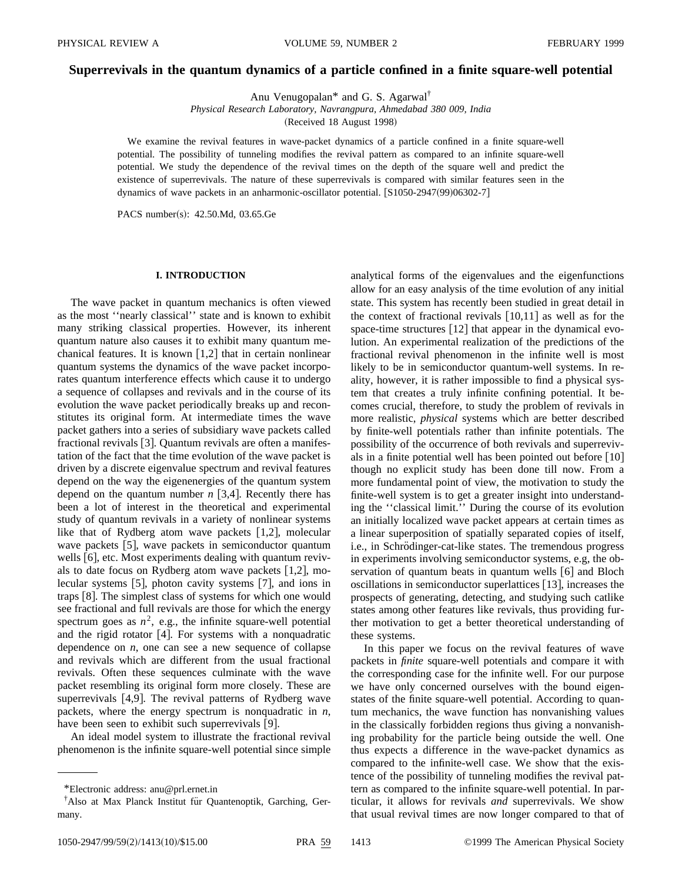# **Superrevivals in the quantum dynamics of a particle confined in a finite square-well potential**

Anu Venugopalan\* and G. S. Agarwal†

*Physical Research Laboratory, Navrangpura, Ahmedabad 380 009, India*

(Received 18 August 1998)

We examine the revival features in wave-packet dynamics of a particle confined in a finite square-well potential. The possibility of tunneling modifies the revival pattern as compared to an infinite square-well potential. We study the dependence of the revival times on the depth of the square well and predict the existence of superrevivals. The nature of these superrevivals is compared with similar features seen in the dynamics of wave packets in an anharmonic-oscillator potential.  $[$1050-2947(99)06302-7]$ 

PACS number(s):  $42.50$ .Md,  $03.65$ .Ge

### **I. INTRODUCTION**

The wave packet in quantum mechanics is often viewed as the most ''nearly classical'' state and is known to exhibit many striking classical properties. However, its inherent quantum nature also causes it to exhibit many quantum mechanical features. It is known  $[1,2]$  that in certain nonlinear quantum systems the dynamics of the wave packet incorporates quantum interference effects which cause it to undergo a sequence of collapses and revivals and in the course of its evolution the wave packet periodically breaks up and reconstitutes its original form. At intermediate times the wave packet gathers into a series of subsidiary wave packets called fractional revivals  $[3]$ . Quantum revivals are often a manifestation of the fact that the time evolution of the wave packet is driven by a discrete eigenvalue spectrum and revival features depend on the way the eigenenergies of the quantum system depend on the quantum number  $n$  [3,4]. Recently there has been a lot of interest in the theoretical and experimental study of quantum revivals in a variety of nonlinear systems like that of Rydberg atom wave packets  $[1,2]$ , molecular wave packets  $[5]$ , wave packets in semiconductor quantum wells  $[6]$ , etc. Most experiments dealing with quantum revivals to date focus on Rydberg atom wave packets  $[1,2]$ , molecular systems  $|5|$ , photon cavity systems  $|7|$ , and ions in traps  $[8]$ . The simplest class of systems for which one would see fractional and full revivals are those for which the energy spectrum goes as  $n^2$ , e.g., the infinite square-well potential and the rigid rotator  $[4]$ . For systems with a nonquadratic dependence on *n*, one can see a new sequence of collapse and revivals which are different from the usual fractional revivals. Often these sequences culminate with the wave packet resembling its original form more closely. These are superrevivals  $[4,9]$ . The revival patterns of Rydberg wave packets, where the energy spectrum is nonquadratic in *n*, have been seen to exhibit such superrevivals  $[9]$ .

An ideal model system to illustrate the fractional revival phenomenon is the infinite square-well potential since simple analytical forms of the eigenvalues and the eigenfunctions allow for an easy analysis of the time evolution of any initial state. This system has recently been studied in great detail in the context of fractional revivals  $[10,11]$  as well as for the space-time structures  $[12]$  that appear in the dynamical evolution. An experimental realization of the predictions of the fractional revival phenomenon in the infinite well is most likely to be in semiconductor quantum-well systems. In reality, however, it is rather impossible to find a physical system that creates a truly infinite confining potential. It becomes crucial, therefore, to study the problem of revivals in more realistic, *physical* systems which are better described by finite-well potentials rather than infinite potentials. The possibility of the occurrence of both revivals and superrevivals in a finite potential well has been pointed out before  $[10]$ though no explicit study has been done till now. From a more fundamental point of view, the motivation to study the finite-well system is to get a greater insight into understanding the ''classical limit.'' During the course of its evolution an initially localized wave packet appears at certain times as a linear superposition of spatially separated copies of itself, i.e., in Schrödinger-cat-like states. The tremendous progress in experiments involving semiconductor systems, e.g, the observation of quantum beats in quantum wells  $[6]$  and Bloch oscillations in semiconductor superlattices  $[13]$ , increases the prospects of generating, detecting, and studying such catlike states among other features like revivals, thus providing further motivation to get a better theoretical understanding of these systems.

In this paper we focus on the revival features of wave packets in *finite* square-well potentials and compare it with the corresponding case for the infinite well. For our purpose we have only concerned ourselves with the bound eigenstates of the finite square-well potential. According to quantum mechanics, the wave function has nonvanishing values in the classically forbidden regions thus giving a nonvanishing probability for the particle being outside the well. One thus expects a difference in the wave-packet dynamics as compared to the infinite-well case. We show that the existence of the possibility of tunneling modifies the revival pattern as compared to the infinite square-well potential. In particular, it allows for revivals *and* superrevivals. We show that usual revival times are now longer compared to that of

<sup>\*</sup>Electronic address: anu@prl.ernet.in

<sup>&</sup>lt;sup>†</sup>Also at Max Planck Institut für Quantenoptik, Garching, Germany.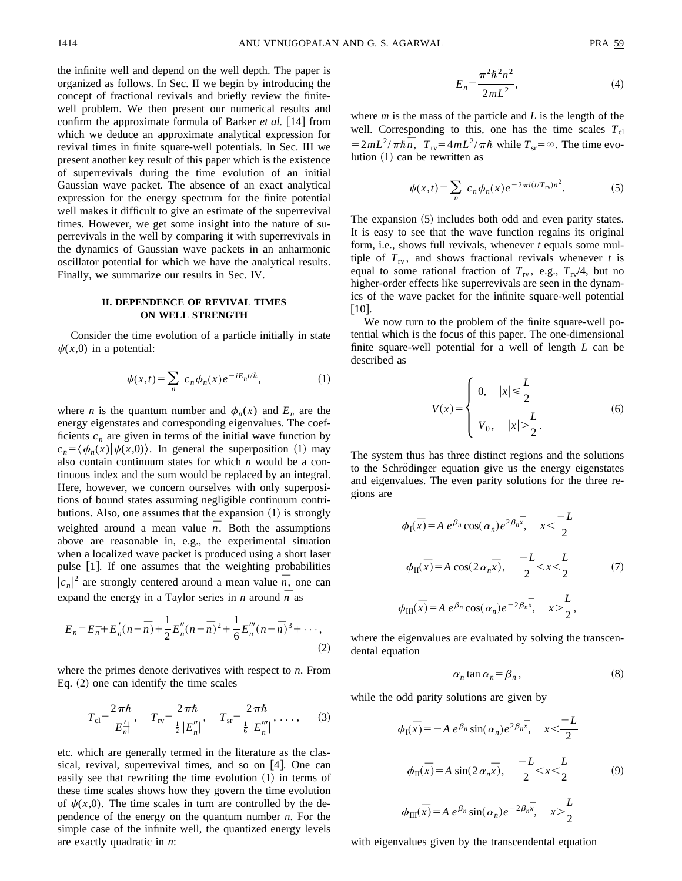the infinite well and depend on the well depth. The paper is organized as follows. In Sec. II we begin by introducing the concept of fractional revivals and briefly review the finitewell problem. We then present our numerical results and confirm the approximate formula of Barker *et al.* [14] from which we deduce an approximate analytical expression for revival times in finite square-well potentials. In Sec. III we present another key result of this paper which is the existence of superrevivals during the time evolution of an initial Gaussian wave packet. The absence of an exact analytical expression for the energy spectrum for the finite potential well makes it difficult to give an estimate of the superrevival times. However, we get some insight into the nature of superrevivals in the well by comparing it with superrevivals in the dynamics of Gaussian wave packets in an anharmonic oscillator potential for which we have the analytical results. Finally, we summarize our results in Sec. IV.

# **II. DEPENDENCE OF REVIVAL TIMES ON WELL STRENGTH**

Consider the time evolution of a particle initially in state  $\psi(x,0)$  in a potential:

$$
\psi(x,t) = \sum_{n} c_n \phi_n(x) e^{-iE_n t/\hbar}, \qquad (1)
$$

where *n* is the quantum number and  $\phi_n(x)$  and  $E_n$  are the energy eigenstates and corresponding eigenvalues. The coefficients  $c_n$  are given in terms of the initial wave function by  $c_n = \langle \phi_n(x) | \psi(x,0) \rangle$ . In general the superposition (1) may also contain continuum states for which *n* would be a continuous index and the sum would be replaced by an integral. Here, however, we concern ourselves with only superpositions of bound states assuming negligible continuum contributions. Also, one assumes that the expansion  $(1)$  is strongly weighted around a mean value  $\overline{n}$ . Both the assumptions above are reasonable in, e.g., the experimental situation when a localized wave packet is produced using a short laser pulse [1]. If one assumes that the weighting probabilities  $|c_n|^2$  are strongly centered around a mean value  $\overline{n}$ , one can expand the energy in a Taylor series in *n* around  $\overrightarrow{n}$  as

$$
E_n = E_n^- + E_n'(n - \overline{n}) + \frac{1}{2} E_n''(n - \overline{n})^2 + \frac{1}{6} E_n'''(n - \overline{n})^3 + \cdots,
$$
\n(2)

where the primes denote derivatives with respect to *n*. From Eq.  $(2)$  one can identify the time scales

$$
T_{\rm cl} = \frac{2\,\pi\hbar}{|E_{\bar{n}}'|}, \quad T_{\rm rv} = \frac{2\,\pi\hbar}{\frac{1}{2}\,|E_{\bar{n}}''|}, \quad T_{\rm sr} = \frac{2\,\pi\hbar}{\frac{1}{6}\,|E_{\bar{n}}'''|}, \quad \ldots, \tag{3}
$$

etc. which are generally termed in the literature as the classical, revival, superrevival times, and so on  $[4]$ . One can easily see that rewriting the time evolution  $(1)$  in terms of these time scales shows how they govern the time evolution of  $\psi(x,0)$ . The time scales in turn are controlled by the dependence of the energy on the quantum number *n*. For the simple case of the infinite well, the quantized energy levels are exactly quadratic in *n*:

$$
E_n = \frac{\pi^2 \hbar^2 n^2}{2mL^2},
$$
\t(4)

where *m* is the mass of the particle and *L* is the length of the well. Corresponding to this, one has the time scales  $T_{\text{cl}}$  $=2mL^2/\pi\hbar\overline{n}$ ,  $T_{\text{rv}}=4mL^2/\pi\hbar$  while  $T_{\text{sr}}=\infty$ . The time evolution  $(1)$  can be rewritten as

$$
\psi(x,t) = \sum_{n} c_n \phi_n(x) e^{-2\pi i (t/T_{\text{rv}})n^2}.
$$
 (5)

The expansion  $(5)$  includes both odd and even parity states. It is easy to see that the wave function regains its original form, i.e., shows full revivals, whenever *t* equals some multiple of  $T_{\text{rv}}$ , and shows fractional revivals whenever *t* is equal to some rational fraction of  $T_{\text{rv}}$ , e.g.,  $T_{\text{rv}}/4$ , but no higher-order effects like superrevivals are seen in the dynamics of the wave packet for the infinite square-well potential  $[10]$ .

We now turn to the problem of the finite square-well potential which is the focus of this paper. The one-dimensional finite square-well potential for a well of length *L* can be described as

$$
V(x) = \begin{cases} 0, & |x| \le \frac{L}{2} \\ V_0, & |x| > \frac{L}{2} . \end{cases}
$$
 (6)

The system thus has three distinct regions and the solutions to the Schrödinger equation give us the energy eigenstates and eigenvalues. The even parity solutions for the three regions are

$$
\phi_{\text{I}}(\bar{x}) = A e^{\beta_n} \cos(\alpha_n) e^{2\beta_n \bar{x}}, \quad x < \frac{-L}{2}
$$
  

$$
\phi_{\text{II}}(\bar{x}) = A \cos(2\alpha_n \bar{x}), \quad \frac{-L}{2} < x < \frac{L}{2}
$$
  

$$
\phi_{\text{III}}(\bar{x}) = A e^{\beta_n} \cos(\alpha_n) e^{-2\beta_n \bar{x}}, \quad x > \frac{L}{2},
$$
 (7)

where the eigenvalues are evaluated by solving the transcendental equation

$$
\alpha_n \tan \alpha_n = \beta_n, \qquad (8)
$$

while the odd parity solutions are given by

$$
\phi_{\text{I}}(\bar{x}) = -A e^{\beta_n} \sin(\alpha_n) e^{2\beta_n \bar{x}}, \quad x < \frac{-L}{2}
$$
  

$$
\phi_{\text{II}}(\bar{x}) = A \sin(2\alpha_n \bar{x}), \quad \frac{-L}{2} < x < \frac{L}{2}
$$
  

$$
\phi_{\text{III}}(\bar{x}) = A e^{\beta_n} \sin(\alpha_n) e^{-2\beta_n \bar{x}}, \quad x > \frac{L}{2}
$$
 (9)

with eigenvalues given by the transcendental equation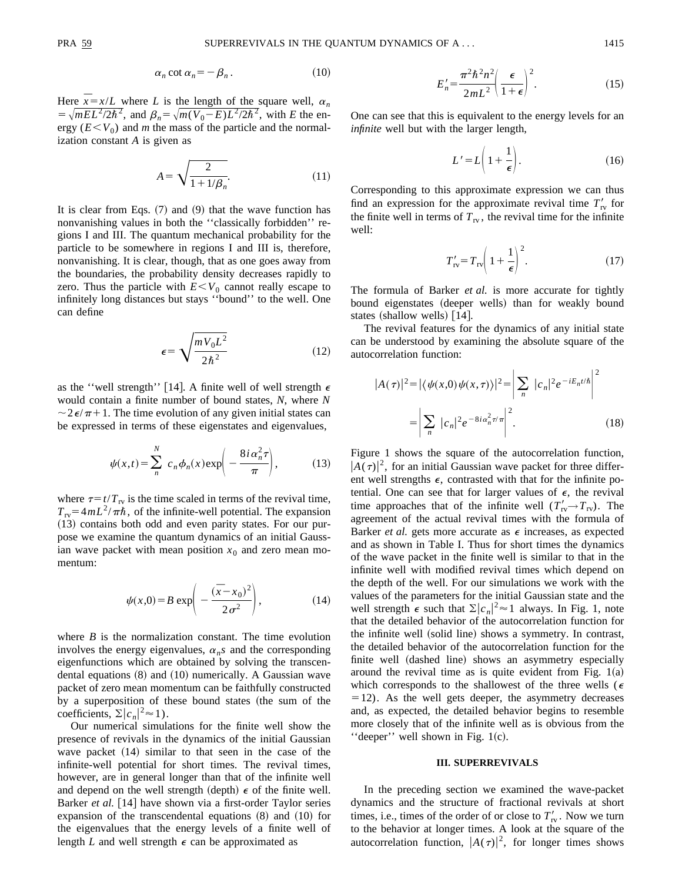$$
\alpha_n \cot \alpha_n = -\beta_n. \tag{10}
$$

Here  $\bar{x} = x/L$  where *L* is the length of the square well,  $\alpha_n$  $= \sqrt{mEL^2/2\hbar^2}$ , and  $\beta_n = \sqrt{m(V_0 - E)L^2/2\hbar^2}$ , with *E* the energy  $(E \le V_0)$  and *m* the mass of the particle and the normalization constant *A* is given as

$$
A = \sqrt{\frac{2}{1 + 1/\beta_n}}.\tag{11}
$$

It is clear from Eqs.  $(7)$  and  $(9)$  that the wave function has nonvanishing values in both the ''classically forbidden'' regions I and III. The quantum mechanical probability for the particle to be somewhere in regions I and III is, therefore, nonvanishing. It is clear, though, that as one goes away from the boundaries, the probability density decreases rapidly to zero. Thus the particle with  $E < V_0$  cannot really escape to infinitely long distances but stays ''bound'' to the well. One can define

$$
\epsilon = \sqrt{\frac{mV_0 L^2}{2\hbar^2}}\tag{12}
$$

as the "well strength" [14]. A finite well of well strength  $\epsilon$ would contain a finite number of bound states, *N*, where *N*  $\sim$  2 $\epsilon/\pi$ +1. The time evolution of any given initial states can be expressed in terms of these eigenstates and eigenvalues,

$$
\psi(x,t) = \sum_{n}^{N} c_n \phi_n(x) \exp\left(-\frac{8i\alpha_n^2 \tau}{\pi}\right),\tag{13}
$$

where  $\tau = t/T_{\text{rv}}$  is the time scaled in terms of the revival time,  $T_{\text{rv}}=4mL^2/\pi\hbar$ , of the infinite-well potential. The expansion  $(13)$  contains both odd and even parity states. For our purpose we examine the quantum dynamics of an initial Gaussian wave packet with mean position  $x_0$  and zero mean momentum:

$$
\psi(x,0) = B \exp\left(-\frac{(\bar{x} - x_0)^2}{2\sigma^2}\right),\tag{14}
$$

where  $B$  is the normalization constant. The time evolution involves the energy eigenvalues,  $\alpha_n s$  and the corresponding eigenfunctions which are obtained by solving the transcendental equations  $(8)$  and  $(10)$  numerically. A Gaussian wave packet of zero mean momentum can be faithfully constructed by a superposition of these bound states (the sum of the coefficients,  $\Sigma |c_n|^2 \approx 1$ ).

Our numerical simulations for the finite well show the presence of revivals in the dynamics of the initial Gaussian wave packet  $(14)$  similar to that seen in the case of the infinite-well potential for short times. The revival times, however, are in general longer than that of the infinite well and depend on the well strength (depth)  $\epsilon$  of the finite well. Barker *et al.* [14] have shown via a first-order Taylor series expansion of the transcendental equations  $(8)$  and  $(10)$  for the eigenvalues that the energy levels of a finite well of length *L* and well strength  $\epsilon$  can be approximated as

$$
E'_{n} = \frac{\pi^{2} \hbar^{2} n^{2}}{2mL^{2}} \left(\frac{\epsilon}{1+\epsilon}\right)^{2}.
$$
 (15)

One can see that this is equivalent to the energy levels for an *infinite* well but with the larger length,

$$
L' = L\left(1 + \frac{1}{\epsilon}\right). \tag{16}
$$

Corresponding to this approximate expression we can thus find an expression for the approximate revival time  $T'_{\rm rv}$  for the finite well in terms of  $T_{\text{rv}}$ , the revival time for the infinite well:

$$
T'_{\rm rv} = T_{\rm rv} \left( 1 + \frac{1}{\epsilon} \right)^2. \tag{17}
$$

The formula of Barker *et al.* is more accurate for tightly bound eigenstates (deeper wells) than for weakly bound states (shallow wells)  $[14]$ .

The revival features for the dynamics of any initial state can be understood by examining the absolute square of the autocorrelation function:

$$
|A(\tau)|^2 = |\langle \psi(x,0)\psi(x,\tau) \rangle|^2 = \left| \sum_n |c_n|^2 e^{-iE_n t/\hbar} \right|^2
$$

$$
= \left| \sum_n |c_n|^2 e^{-8i\alpha_n^2 \tau/\pi} \right|^2. \tag{18}
$$

Figure 1 shows the square of the autocorrelation function,  $|A(\tau)|^2$ , for an initial Gaussian wave packet for three different well strengths  $\epsilon$ , contrasted with that for the infinite potential. One can see that for larger values of  $\epsilon$ , the revival time approaches that of the infinite well  $(T'_{\text{rv}} \to T_{\text{rv}})$ . The agreement of the actual revival times with the formula of Barker *et al.* gets more accurate as  $\epsilon$  increases, as expected and as shown in Table I. Thus for short times the dynamics of the wave packet in the finite well is similar to that in the infinite well with modified revival times which depend on the depth of the well. For our simulations we work with the values of the parameters for the initial Gaussian state and the well strength  $\epsilon$  such that  $\sum |c_n|^2 \approx 1$  always. In Fig. 1, note that the detailed behavior of the autocorrelation function for the infinite well (solid line) shows a symmetry. In contrast, the detailed behavior of the autocorrelation function for the finite well (dashed line) shows an asymmetry especially around the revival time as is quite evident from Fig.  $1(a)$ which corresponds to the shallowest of the three wells ( $\epsilon$  $=12$ ). As the well gets deeper, the asymmetry decreases and, as expected, the detailed behavior begins to resemble more closely that of the infinite well as is obvious from the "deeper" well shown in Fig.  $1(c)$ .

#### **III. SUPERREVIVALS**

In the preceding section we examined the wave-packet dynamics and the structure of fractional revivals at short times, i.e., times of the order of or close to  $T'_{\text{rv}}$ . Now we turn to the behavior at longer times. A look at the square of the autocorrelation function,  $|A(\tau)|^2$ , for longer times shows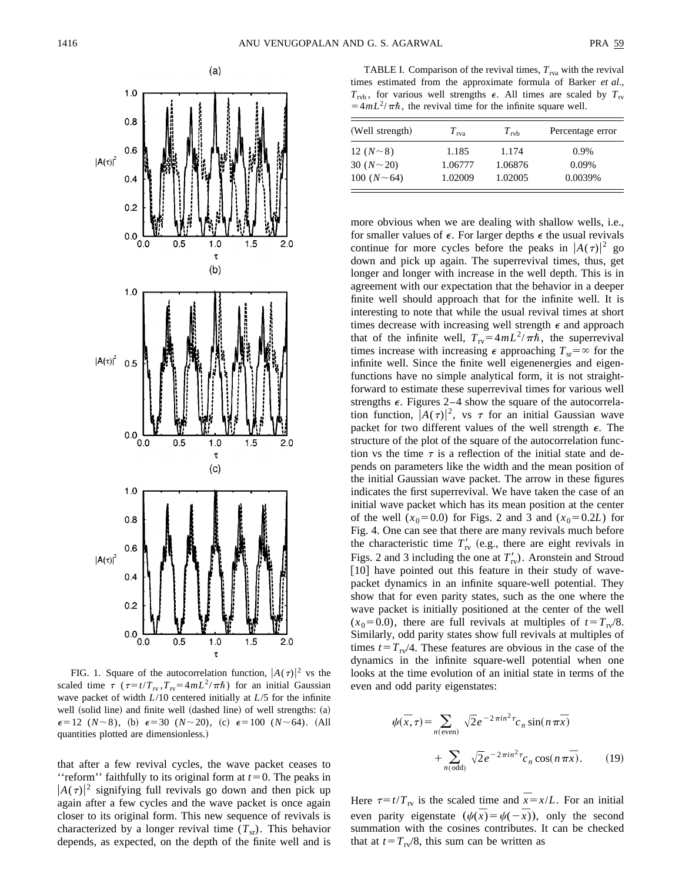

FIG. 1. Square of the autocorrelation function,  $|A(\tau)|^2$  vs the scaled time  $\tau$  ( $\tau = t/T_{\text{rv}}$ ,  $T_{\text{rv}} = 4mL^2/\pi\hbar$ ) for an initial Gaussian wave packet of width *L*/10 centered initially at *L*/5 for the infinite well (solid line) and finite well (dashed line) of well strengths:  $(a)$  $\epsilon=12 \ (N \sim 8)$ , (b)  $\epsilon=30 \ (N \sim 20)$ , (c)  $\epsilon=100 \ (N \sim 64)$ . (All quantities plotted are dimensionless.)

that after a few revival cycles, the wave packet ceases to "reform" faithfully to its original form at  $t=0$ . The peaks in  $|A(\tau)|^2$  signifying full revivals go down and then pick up again after a few cycles and the wave packet is once again closer to its original form. This new sequence of revivals is characterized by a longer revival time  $(T_{sr})$ . This behavior depends, as expected, on the depth of the finite well and is

TABLE I. Comparison of the revival times,  $T_{\text{rva}}$  with the revival times estimated from the approximate formula of Barker *et al.*,  $T_{\text{rvb}}$ , for various well strengths  $\epsilon$ . All times are scaled by  $T_{\text{rv}}$  $=4mL^2/\pi\hbar$ , the revival time for the infinite square well.

| (Well strength)   | $T_{\rm rva}$ | $T_{\rm rvh}$ | Percentage error |
|-------------------|---------------|---------------|------------------|
| 12 $(N \sim 8)$   | 1.185         | 1.174         | $0.9\%$          |
| 30 $(N \sim 20)$  | 1.06777       | 1.06876       | 0.09%            |
| 100 $(N \sim 64)$ | 1.02009       | 1.02005       | 0.0039%          |

more obvious when we are dealing with shallow wells, i.e., for smaller values of  $\epsilon$ . For larger depths  $\epsilon$  the usual revivals continue for more cycles before the peaks in  $|A(\tau)|^2$  go down and pick up again. The superrevival times, thus, get longer and longer with increase in the well depth. This is in agreement with our expectation that the behavior in a deeper finite well should approach that for the infinite well. It is interesting to note that while the usual revival times at short times decrease with increasing well strength  $\epsilon$  and approach that of the infinite well,  $T_{\text{rv}}=4mL^2/\pi\hbar$ , the superrevival times increase with increasing  $\epsilon$  approaching  $T_{\rm sr} = \infty$  for the infinite well. Since the finite well eigenenergies and eigenfunctions have no simple analytical form, it is not straightforward to estimate these superrevival times for various well strengths  $\epsilon$ . Figures 2–4 show the square of the autocorrelation function,  $|A(\tau)|^2$ , vs  $\tau$  for an initial Gaussian wave packet for two different values of the well strength  $\epsilon$ . The structure of the plot of the square of the autocorrelation function vs the time  $\tau$  is a reflection of the initial state and depends on parameters like the width and the mean position of the initial Gaussian wave packet. The arrow in these figures indicates the first superrevival. We have taken the case of an initial wave packet which has its mean position at the center of the well  $(x_0=0.0)$  for Figs. 2 and 3 and  $(x_0=0.2L)$  for Fig. 4. One can see that there are many revivals much before the characteristic time  $T'_{\text{rv}}$  (e.g., there are eight revivals in Figs. 2 and 3 including the one at  $T'_{\text{rv}}$ ). Aronstein and Stroud  $[10]$  have pointed out this feature in their study of wavepacket dynamics in an infinite square-well potential. They show that for even parity states, such as the one where the wave packet is initially positioned at the center of the well  $(x_0=0.0)$ , there are full revivals at multiples of  $t=T<sub>rv</sub>/8$ . Similarly, odd parity states show full revivals at multiples of times  $t = T_{\text{rv}}/4$ . These features are obvious in the case of the dynamics in the infinite square-well potential when one looks at the time evolution of an initial state in terms of the even and odd parity eigenstates:

$$
\psi(\overline{x}, \tau) = \sum_{n(\text{even})} \sqrt{2} e^{-2\pi i n^2 \tau} c_n \sin(n\pi \overline{x})
$$

$$
+ \sum_{n(\text{odd})} \sqrt{2} e^{-2\pi i n^2 \tau} c_n \cos(n\pi \overline{x}). \tag{19}
$$

Here  $\tau = t/T_{\text{rv}}$  is the scaled time and  $\bar{x} = x/L$ . For an initial even parity eigenstate  $(\psi(\bar{x}) = \psi(-\bar{x}))$ , only the second summation with the cosines contributes. It can be checked that at  $t=T_{\text{rv}}/8$ , this sum can be written as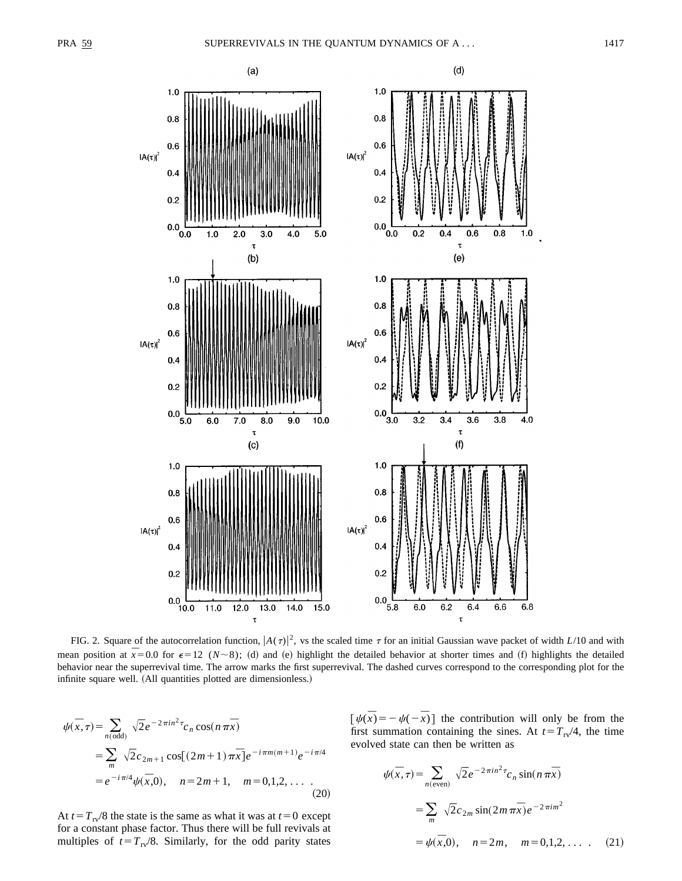

FIG. 2. Square of the autocorrelation function,  $|A(\tau)|^2$ , vs the scaled time  $\tau$  for an initial Gaussian wave packet of width *L*/10 and with mean position at  $\bar{x}$ =0.0 for  $\epsilon$ =12 (*N* ~8); (d) and (e) highlight the detailed behavior at shorter times and (f) highlights the detailed behavior near the superrevival time. The arrow marks the first superrevival. The dashed curves correspond to the corresponding plot for the infinite square well. (All quantities plotted are dimensionless.)

$$
\psi(\bar{x}, \tau) = \sum_{n(\text{odd})} \sqrt{2} e^{-2\pi i n^2 \tau} c_n \cos(n \pi \bar{x})
$$
  
= 
$$
\sum_{m} \sqrt{2} c_{2m+1} \cos[(2m+1)\pi \bar{x}] e^{-i\pi m(m+1)} e^{-i\pi/4}
$$
  
= 
$$
e^{-i\pi/4} \psi(\bar{x}, 0), \quad n = 2m+1, \quad m = 0, 1, 2, \dots
$$
 (20)

At  $t = T_{\text{rv}}/8$  the state is the same as what it was at  $t=0$  except for a constant phase factor. Thus there will be full revivals at multiples of  $t=T_{\text{rv}}/8$ . Similarly, for the odd parity states

 $[\psi(\bar{x}) = -\psi(-\bar{x})]$  the contribution will only be from the first summation containing the sines. At  $t=T_{\text{rv}}/4$ , the time evolved state can then be written as

$$
\psi(\bar{x}, \tau) = \sum_{n(\text{even})} \sqrt{2} e^{-2\pi i n^2 \tau} c_n \sin(n \pi \bar{x})
$$
  
=  $\sum_m \sqrt{2} c_{2m} \sin(2m \pi \bar{x}) e^{-2\pi i m^2}$   
=  $\psi(\bar{x}, 0), \quad n = 2m, \quad m = 0, 1, 2, ...$  (21)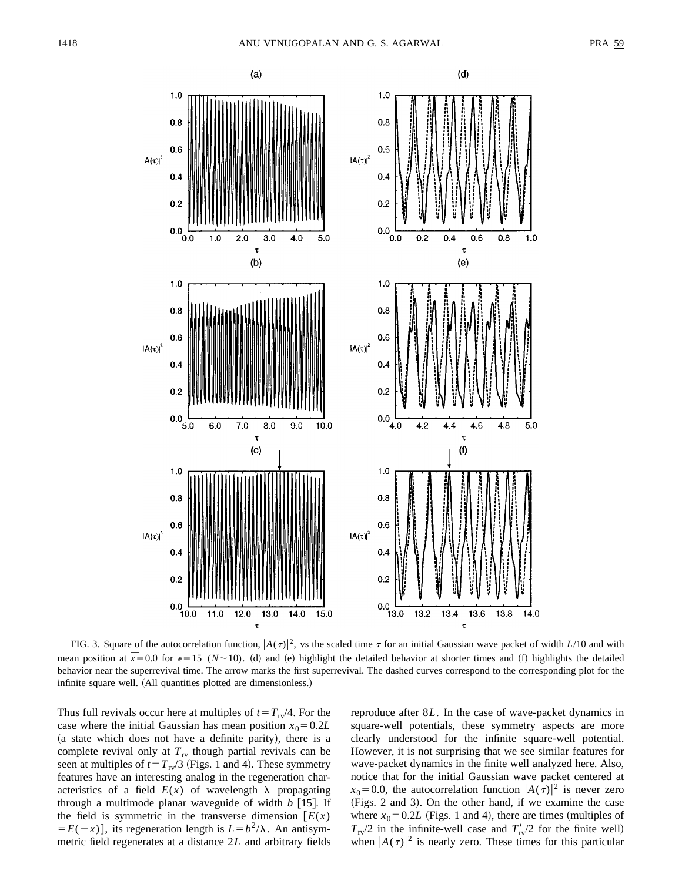

FIG. 3. Square of the autocorrelation function,  $|A(\tau)|^2$ , vs the scaled time  $\tau$  for an initial Gaussian wave packet of width *L*/10 and with mean position at  $\bar{x}$ =0.0 for  $\epsilon$ =15 (*N* ~ 10). (d) and (e) highlight the detailed behavior at shorter times and (f) highlights the detailed behavior near the superrevival time. The arrow marks the first superrevival. The dashed curves correspond to the corresponding plot for the infinite square well. (All quantities plotted are dimensionless.)

Thus full revivals occur here at multiples of  $t=T_{\text{rv}}/4$ . For the case where the initial Gaussian has mean position  $x_0 = 0.2L$ (a state which does not have a definite parity), there is a complete revival only at  $T_{\text{rv}}$  though partial revivals can be seen at multiples of  $t=T_{\text{rv}}/3$  (Figs. 1 and 4). These symmetry features have an interesting analog in the regeneration characteristics of a field  $E(x)$  of wavelength  $\lambda$  propagating through a multimode planar waveguide of width  $b \,$  [15]. If the field is symmetric in the transverse dimension  $E(x)$  $E(-x)$ , its regeneration length is  $L=b^2/\lambda$ . An antisymmetric field regenerates at a distance 2*L* and arbitrary fields reproduce after 8*L*. In the case of wave-packet dynamics in square-well potentials, these symmetry aspects are more clearly understood for the infinite square-well potential. However, it is not surprising that we see similar features for wave-packet dynamics in the finite well analyzed here. Also, notice that for the initial Gaussian wave packet centered at  $x_0$ =0.0, the autocorrelation function  $|A(\tau)|^2$  is never zero  $(Figs. 2$  and 3). On the other hand, if we examine the case where  $x_0 = 0.2L$  (Figs. 1 and 4), there are times (multiples of  $T_{\text{rv}}/2$  in the infinite-well case and  $T_{\text{rv}}/2$  for the finite well) when  $|A(\tau)|^2$  is nearly zero. These times for this particular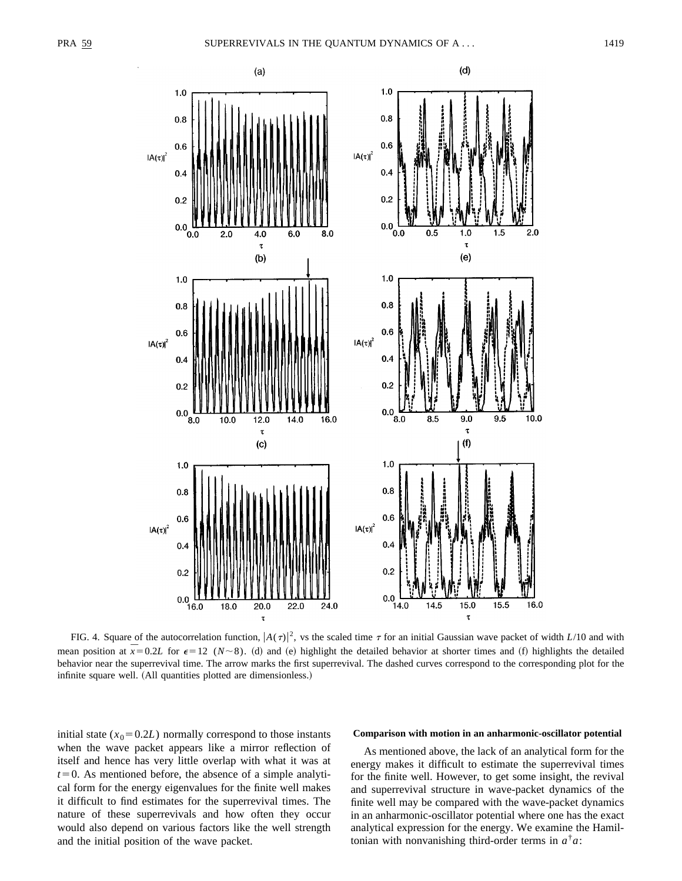

FIG. 4. Square of the autocorrelation function,  $|A(\tau)|^2$ , vs the scaled time  $\tau$  for an initial Gaussian wave packet of width *L*/10 and with mean position at  $\bar{x}$ =0.2*L* for  $\epsilon$ =12 (*N* ~ 8). (d) and (e) highlight the detailed behavior at shorter times and (f) highlights the detailed behavior near the superrevival time. The arrow marks the first superrevival. The dashed curves correspond to the corresponding plot for the infinite square well. (All quantities plotted are dimensionless.)

initial state  $(x_0=0.2L)$  normally correspond to those instants when the wave packet appears like a mirror reflection of itself and hence has very little overlap with what it was at  $t=0$ . As mentioned before, the absence of a simple analytical form for the energy eigenvalues for the finite well makes it difficult to find estimates for the superrevival times. The nature of these superrevivals and how often they occur would also depend on various factors like the well strength and the initial position of the wave packet.

## **Comparison with motion in an anharmonic-oscillator potential**

As mentioned above, the lack of an analytical form for the energy makes it difficult to estimate the superrevival times for the finite well. However, to get some insight, the revival and superrevival structure in wave-packet dynamics of the finite well may be compared with the wave-packet dynamics in an anharmonic-oscillator potential where one has the exact analytical expression for the energy. We examine the Hamiltonian with nonvanishing third-order terms in  $a^{\dagger}a$ :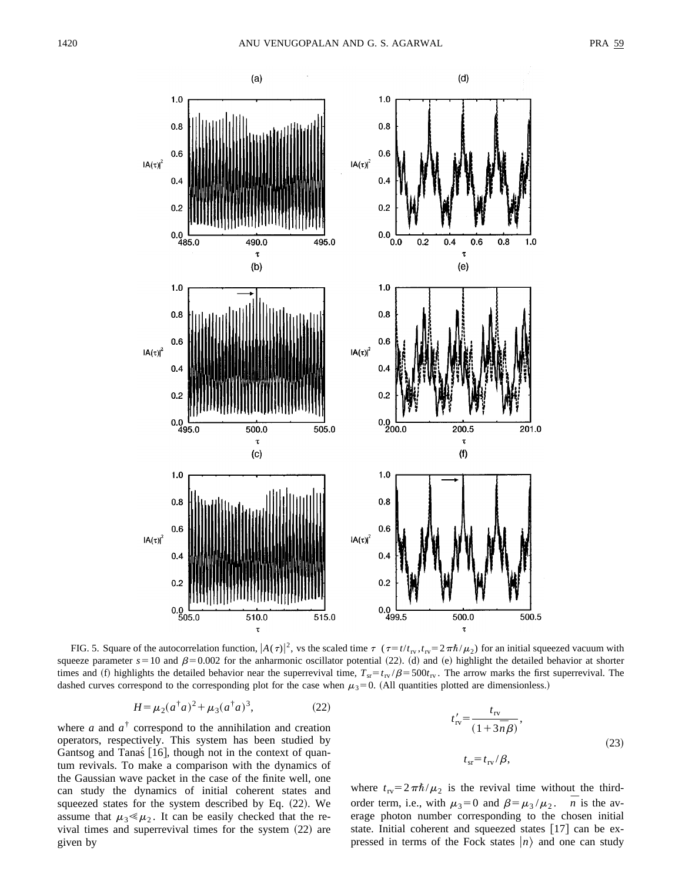

FIG. 5. Square of the autocorrelation function,  $|A(\tau)|^2$ , vs the scaled time  $\tau$  ( $\tau = t/t_{\rm rv}, t_{\rm rv} = 2\pi\hbar/\mu_2$ ) for an initial squeezed vacuum with squeeze parameter  $s=10$  and  $\beta=0.002$  for the anharmonic oscillator potential (22). (d) and (e) highlight the detailed behavior at shorter times and (f) highlights the detailed behavior near the superrevival time,  $T_{sr} = t_{rv}/\beta = 500t_{rv}$ . The arrow marks the first superrevival. The dashed curves correspond to the corresponding plot for the case when  $\mu_3=0$ . (All quantities plotted are dimensionless.)

$$
H = \mu_2 (a^\dagger a)^2 + \mu_3 (a^\dagger a)^3, \tag{22}
$$

where *a* and  $a^{\dagger}$  correspond to the annihilation and creation operators, respectively. This system has been studied by Gantsog and Tanas<sup> $[16]$ </sup>, though not in the context of quantum revivals. To make a comparison with the dynamics of the Gaussian wave packet in the case of the finite well, one can study the dynamics of initial coherent states and squeezed states for the system described by Eq.  $(22)$ . We assume that  $\mu_3 \ll \mu_2$ . It can be easily checked that the revival times and superrevival times for the system  $(22)$  are given by

$$
t'_{\rm rv} = \frac{t_{\rm rv}}{(1 + 3\overline{n}\beta)},
$$
  

$$
t_{\rm sr} = t_{\rm rv}/\beta,
$$
 (23)

where  $t_{\text{rv}}=2\pi\hbar/\mu_2$  is the revival time without the thirdorder term, i.e., with  $\mu_3=0$  and  $\beta=\mu_3/\mu_2$ .  $\bar{n}$  is the average photon number corresponding to the chosen initial state. Initial coherent and squeezed states  $[17]$  can be expressed in terms of the Fock states  $|n\rangle$  and one can study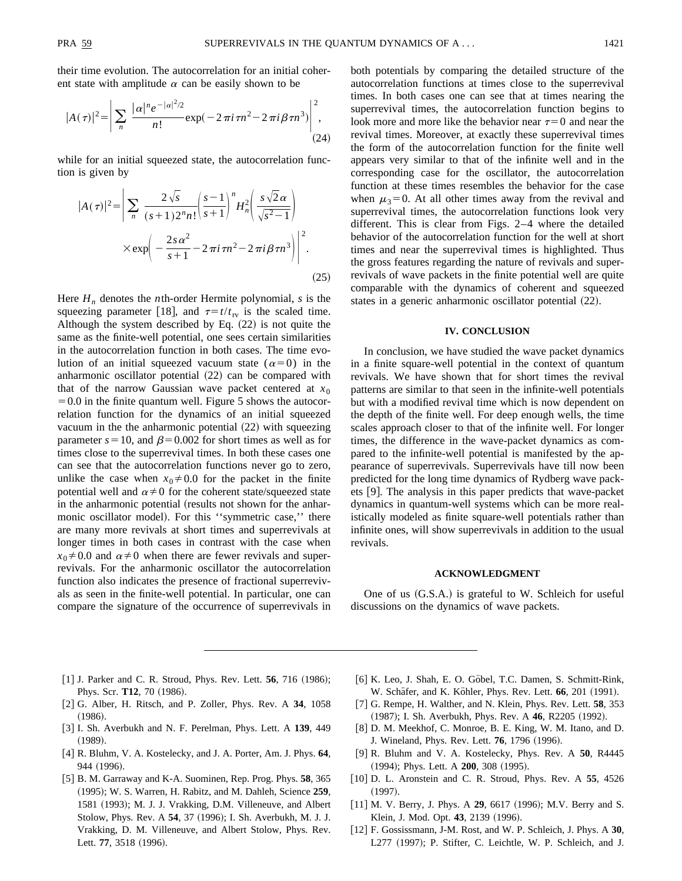their time evolution. The autocorrelation for an initial coherent state with amplitude  $\alpha$  can be easily shown to be

$$
|A(\tau)|^2 = \left| \sum_n \frac{|\alpha|^n e^{-|\alpha|^2/2}}{n!} \exp(-2\pi i \tau n^2 - 2\pi i \beta \tau n^3) \right|^2, \tag{24}
$$

while for an initial squeezed state, the autocorrelation function is given by

$$
|A(\tau)|^2 = \left| \sum_n \frac{2\sqrt{s}}{(s+1)2^n n!} \left( \frac{s-1}{s+1} \right)^n H_n^2 \left( \frac{s\sqrt{2}\alpha}{\sqrt{s^2-1}} \right) \right|
$$
  
 
$$
\times \exp \left( -\frac{2s\alpha^2}{s+1} - 2\pi i \tau n^2 - 2\pi i \beta \tau n^3 \right) \Big|^2.
$$
 (25)

Here  $H_n$  denotes the *n*th-order Hermite polynomial, *s* is the squeezing parameter [18], and  $\tau = t/t_{\text{rv}}$  is the scaled time. Although the system described by Eq.  $(22)$  is not quite the same as the finite-well potential, one sees certain similarities in the autocorrelation function in both cases. The time evolution of an initial squeezed vacuum state ( $\alpha=0$ ) in the anharmonic oscillator potential  $(22)$  can be compared with that of the narrow Gaussian wave packet centered at  $x_0$  $=0.0$  in the finite quantum well. Figure 5 shows the autocorrelation function for the dynamics of an initial squeezed vacuum in the the anharmonic potential  $(22)$  with squeezing parameter  $s=10$ , and  $\beta=0.002$  for short times as well as for times close to the superrevival times. In both these cases one can see that the autocorrelation functions never go to zero, unlike the case when  $x_0 \neq 0.0$  for the packet in the finite potential well and  $\alpha \neq 0$  for the coherent state/squeezed state in the anharmonic potential (results not shown for the anharmonic oscillator model). For this "symmetric case," there are many more revivals at short times and superrevivals at longer times in both cases in contrast with the case when  $x_0 \neq 0.0$  and  $\alpha \neq 0$  when there are fewer revivals and superrevivals. For the anharmonic oscillator the autocorrelation function also indicates the presence of fractional superrevivals as seen in the finite-well potential. In particular, one can compare the signature of the occurrence of superrevivals in both potentials by comparing the detailed structure of the autocorrelation functions at times close to the superrevival times. In both cases one can see that at times nearing the superrevival times, the autocorrelation function begins to look more and more like the behavior near  $\tau=0$  and near the revival times. Moreover, at exactly these superrevival times the form of the autocorrelation function for the finite well appears very similar to that of the infinite well and in the corresponding case for the oscillator, the autocorrelation function at these times resembles the behavior for the case when  $\mu_3=0$ . At all other times away from the revival and superrevival times, the autocorrelation functions look very different. This is clear from Figs. 2–4 where the detailed behavior of the autocorrelation function for the well at short times and near the superrevival times is highlighted. Thus the gross features regarding the nature of revivals and superrevivals of wave packets in the finite potential well are quite comparable with the dynamics of coherent and squeezed states in a generic anharmonic oscillator potential  $(22)$ .

### **IV. CONCLUSION**

In conclusion, we have studied the wave packet dynamics in a finite square-well potential in the context of quantum revivals. We have shown that for short times the revival patterns are similar to that seen in the infinite-well potentials but with a modified revival time which is now dependent on the depth of the finite well. For deep enough wells, the time scales approach closer to that of the infinite well. For longer times, the difference in the wave-packet dynamics as compared to the infinite-well potential is manifested by the appearance of superrevivals. Superrevivals have till now been predicted for the long time dynamics of Rydberg wave packets [9]. The analysis in this paper predicts that wave-packet dynamics in quantum-well systems which can be more realistically modeled as finite square-well potentials rather than infinite ones, will show superrevivals in addition to the usual revivals.

#### **ACKNOWLEDGMENT**

One of us  $(G.S.A.)$  is grateful to W. Schleich for useful discussions on the dynamics of wave packets.

- [1] J. Parker and C. R. Stroud, Phys. Rev. Lett. **56**, 716 (1986); Phys. Scr. **T12**, 70 (1986).
- [2] G. Alber, H. Ritsch, and P. Zoller, Phys. Rev. A 34, 1058  $(1986).$
- @3# I. Sh. Averbukh and N. F. Perelman, Phys. Lett. A **139**, 449  $(1989).$
- [4] R. Bluhm, V. A. Kostelecky, and J. A. Porter, Am. J. Phys. **64**, 944 (1996).
- [5] B. M. Garraway and K-A. Suominen, Rep. Prog. Phys. **58**, 365 ~1995!; W. S. Warren, H. Rabitz, and M. Dahleh, Science **259**, 1581 (1993); M. J. J. Vrakking, D.M. Villeneuve, and Albert Stolow, Phys. Rev. A 54, 37 (1996); I. Sh. Averbukh, M. J. J. Vrakking, D. M. Villeneuve, and Albert Stolow, Phys. Rev. Lett. 77, 3518 (1996).
- [6] K. Leo, J. Shah, E. O. Göbel, T.C. Damen, S. Schmitt-Rink, W. Schäfer, and K. Köhler, Phys. Rev. Lett. 66, 201 (1991).
- @7# G. Rempe, H. Walther, and N. Klein, Phys. Rev. Lett. **58**, 353 (1987); I. Sh. Averbukh, Phys. Rev. A 46, R2205 (1992).
- [8] D. M. Meekhof, C. Monroe, B. E. King, W. M. Itano, and D. J. Wineland, Phys. Rev. Lett. **76**, 1796 (1996).
- [9] R. Bluhm and V. A. Kostelecky, Phys. Rev. A 50, R4445 (1994); Phys. Lett. A **200**, 308 (1995).
- @10# D. L. Aronstein and C. R. Stroud, Phys. Rev. A **55**, 4526  $(1997).$
- $[11]$  M. V. Berry, J. Phys. A **29**, 6617  $(1996)$ ; M.V. Berry and S. Klein, J. Mod. Opt. 43, 2139 (1996).
- [12] F. Gossissmann, J-M. Rost, and W. P. Schleich, J. Phys. A 30, L277 (1997); P. Stifter, C. Leichtle, W. P. Schleich, and J.